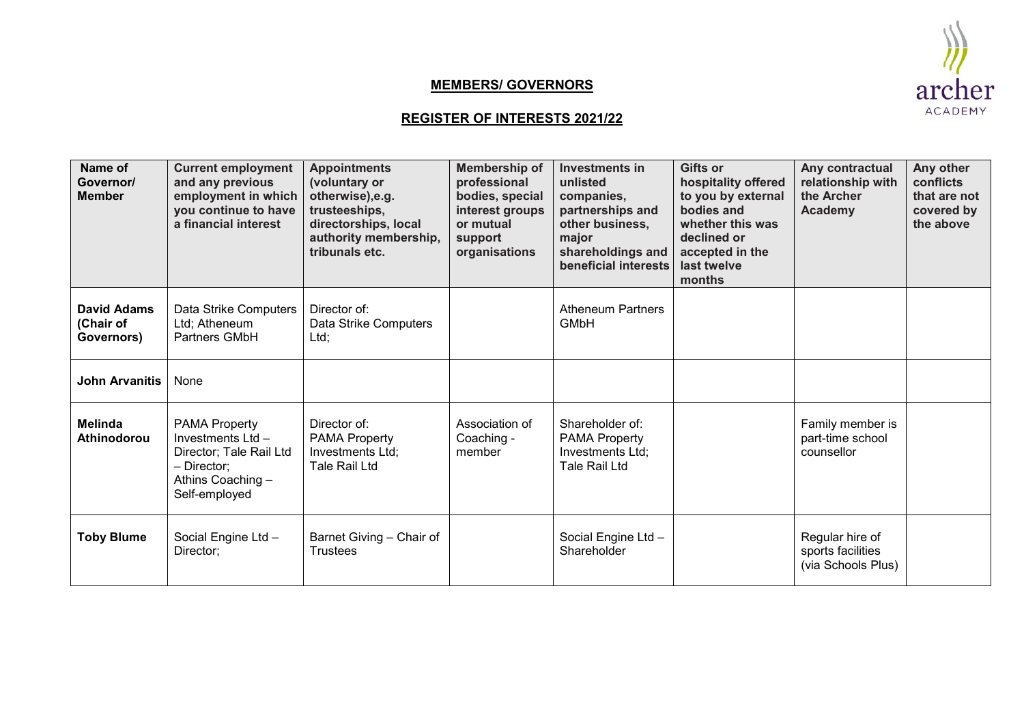## **MEMBERS/ GOVERNORS**



## **REGISTER OF INTERESTS 2021/22**

| Name of<br>Governor/<br><b>Member</b>         | <b>Current employment</b><br>and any previous<br>employment in which<br>you continue to have<br>a financial interest     | <b>Appointments</b><br>(voluntary or<br>otherwise), e.g.<br>trusteeships,<br>directorships, local<br>authority membership,<br>tribunals etc. | Membership of<br>professional<br>bodies, special<br>interest groups<br>or mutual<br>support<br>organisations | Investments in<br>unlisted<br>companies,<br>partnerships and<br>other business,<br>major<br>shareholdings and<br>beneficial interests | <b>Gifts or</b><br>hospitality offered<br>to you by external<br>bodies and<br>whether this was<br>declined or<br>accepted in the<br>last twelve<br>months | Any contractual<br>relationship with<br>the Archer<br>Academy | Any other<br>conflicts<br>that are not<br>covered by<br>the above |
|-----------------------------------------------|--------------------------------------------------------------------------------------------------------------------------|----------------------------------------------------------------------------------------------------------------------------------------------|--------------------------------------------------------------------------------------------------------------|---------------------------------------------------------------------------------------------------------------------------------------|-----------------------------------------------------------------------------------------------------------------------------------------------------------|---------------------------------------------------------------|-------------------------------------------------------------------|
| <b>David Adams</b><br>(Chair of<br>Governors) | Data Strike Computers<br>Ltd; Atheneum<br>Partners GMbH                                                                  | Director of:<br>Data Strike Computers<br>Ltd;                                                                                                |                                                                                                              | <b>Atheneum Partners</b><br><b>GMbH</b>                                                                                               |                                                                                                                                                           |                                                               |                                                                   |
| <b>John Arvanitis</b>                         | None                                                                                                                     |                                                                                                                                              |                                                                                                              |                                                                                                                                       |                                                                                                                                                           |                                                               |                                                                   |
| <b>Melinda</b><br>Athinodorou                 | <b>PAMA Property</b><br>Investments Ltd-<br>Director; Tale Rail Ltd<br>- Director:<br>Athins Coaching -<br>Self-employed | Director of:<br><b>PAMA Property</b><br>Investments Ltd;<br>Tale Rail Ltd                                                                    | Association of<br>Coaching -<br>member                                                                       | Shareholder of:<br><b>PAMA Property</b><br>Investments Ltd;<br>Tale Rail Ltd                                                          |                                                                                                                                                           | Family member is<br>part-time school<br>counsellor            |                                                                   |
| <b>Toby Blume</b>                             | Social Engine Ltd -<br>Director;                                                                                         | Barnet Giving - Chair of<br><b>Trustees</b>                                                                                                  |                                                                                                              | Social Engine Ltd -<br>Shareholder                                                                                                    |                                                                                                                                                           | Regular hire of<br>sports facilities<br>(via Schools Plus)    |                                                                   |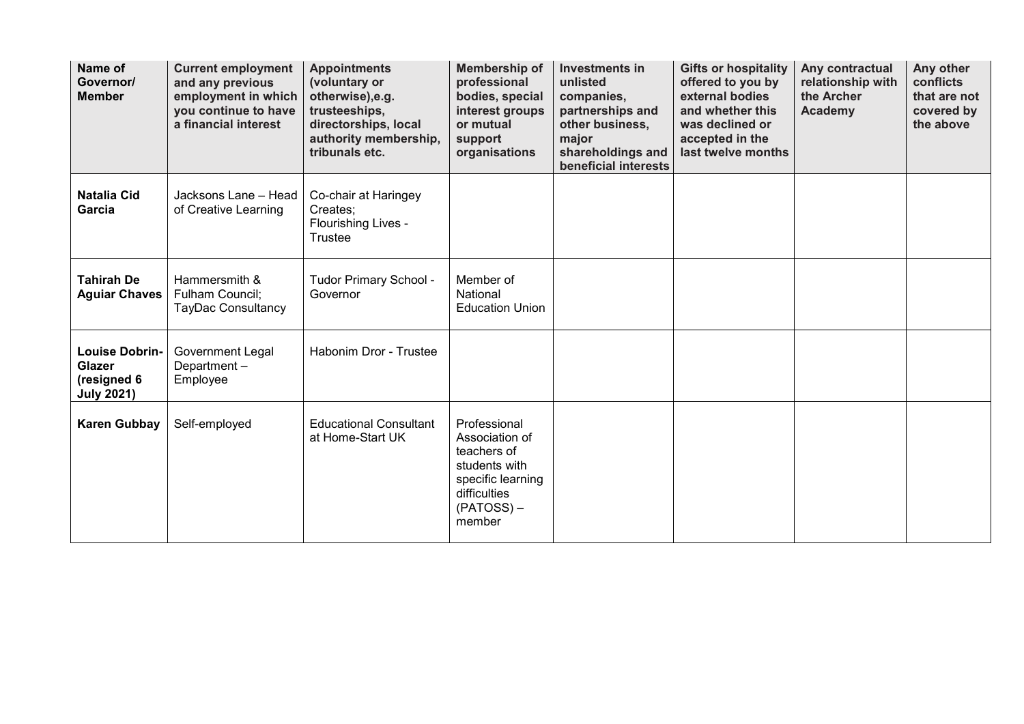| Name of<br>Governor/<br><b>Member</b>                               | <b>Current employment</b><br>and any previous<br>employment in which<br>you continue to have<br>a financial interest | <b>Appointments</b><br>(voluntary or<br>otherwise), e.g.<br>trusteeships,<br>directorships, local<br>authority membership,<br>tribunals etc. | <b>Membership of</b><br>professional<br>bodies, special<br>interest groups<br>or mutual<br>support<br>organisations           | <b>Investments in</b><br>unlisted<br>companies,<br>partnerships and<br>other business,<br>major<br>shareholdings and<br>beneficial interests | <b>Gifts or hospitality</b><br>offered to you by<br>external bodies<br>and whether this<br>was declined or<br>accepted in the<br>last twelve months | Any contractual<br>relationship with<br>the Archer<br><b>Academy</b> | Any other<br>conflicts<br>that are not<br>covered by<br>the above |
|---------------------------------------------------------------------|----------------------------------------------------------------------------------------------------------------------|----------------------------------------------------------------------------------------------------------------------------------------------|-------------------------------------------------------------------------------------------------------------------------------|----------------------------------------------------------------------------------------------------------------------------------------------|-----------------------------------------------------------------------------------------------------------------------------------------------------|----------------------------------------------------------------------|-------------------------------------------------------------------|
| <b>Natalia Cid</b><br>Garcia                                        | Jacksons Lane - Head<br>of Creative Learning                                                                         | Co-chair at Haringey<br>Creates:<br>Flourishing Lives -<br>Trustee                                                                           |                                                                                                                               |                                                                                                                                              |                                                                                                                                                     |                                                                      |                                                                   |
| <b>Tahirah De</b><br><b>Aguiar Chaves</b>                           | Hammersmith &<br>Fulham Council;<br><b>TayDac Consultancy</b>                                                        | Tudor Primary School -<br>Governor                                                                                                           | Member of<br>National<br><b>Education Union</b>                                                                               |                                                                                                                                              |                                                                                                                                                     |                                                                      |                                                                   |
| <b>Louise Dobrin-</b><br>Glazer<br>(resigned 6<br><b>July 2021)</b> | <b>Government Legal</b><br>Department-<br>Employee                                                                   | Habonim Dror - Trustee                                                                                                                       |                                                                                                                               |                                                                                                                                              |                                                                                                                                                     |                                                                      |                                                                   |
| <b>Karen Gubbay</b>                                                 | Self-employed                                                                                                        | <b>Educational Consultant</b><br>at Home-Start UK                                                                                            | Professional<br>Association of<br>teachers of<br>students with<br>specific learning<br>difficulties<br>$(PATOSS) -$<br>member |                                                                                                                                              |                                                                                                                                                     |                                                                      |                                                                   |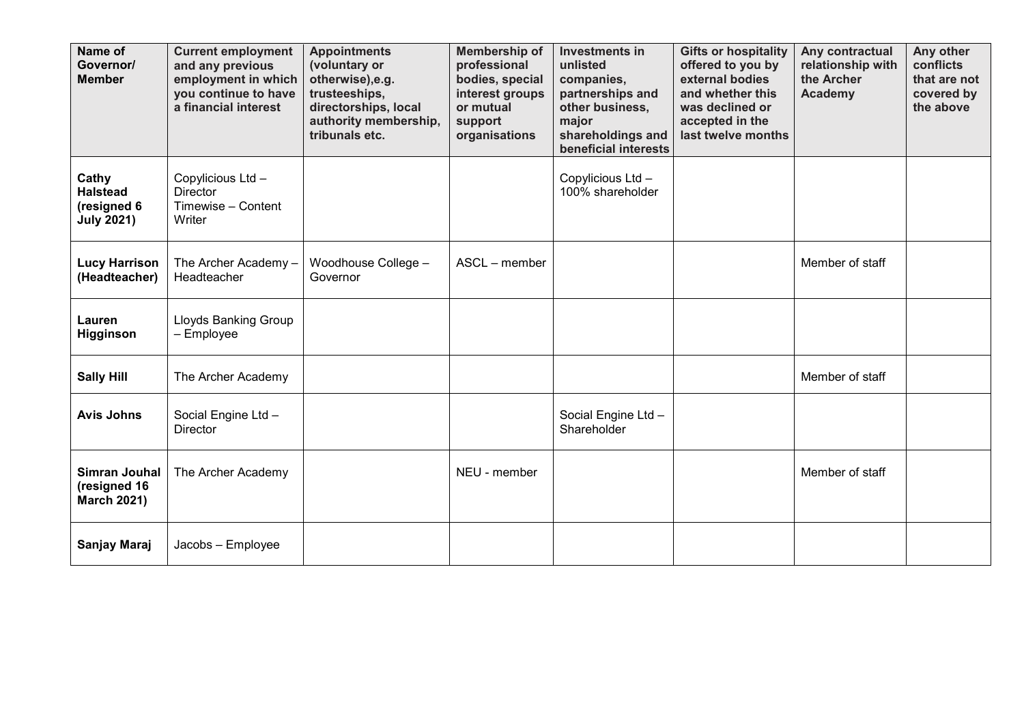| Name of<br>Governor/<br><b>Member</b>                        | <b>Current employment</b><br>and any previous<br>employment in which<br>you continue to have<br>a financial interest | <b>Appointments</b><br>(voluntary or<br>otherwise), e.g.<br>trusteeships,<br>directorships, local<br>authority membership,<br>tribunals etc. | Membership of<br>professional<br>bodies, special<br>interest groups<br>or mutual<br>support<br>organisations | <b>Investments in</b><br>unlisted<br>companies,<br>partnerships and<br>other business,<br>major<br>shareholdings and<br>beneficial interests | <b>Gifts or hospitality</b><br>offered to you by<br>external bodies<br>and whether this<br>was declined or<br>accepted in the<br>last twelve months | Any contractual<br>relationship with<br>the Archer<br><b>Academy</b> | Any other<br>conflicts<br>that are not<br>covered by<br>the above |
|--------------------------------------------------------------|----------------------------------------------------------------------------------------------------------------------|----------------------------------------------------------------------------------------------------------------------------------------------|--------------------------------------------------------------------------------------------------------------|----------------------------------------------------------------------------------------------------------------------------------------------|-----------------------------------------------------------------------------------------------------------------------------------------------------|----------------------------------------------------------------------|-------------------------------------------------------------------|
| Cathy<br><b>Halstead</b><br>(resigned 6<br><b>July 2021)</b> | Copylicious Ltd -<br><b>Director</b><br>Timewise - Content<br>Writer                                                 |                                                                                                                                              |                                                                                                              | Copylicious Ltd -<br>100% shareholder                                                                                                        |                                                                                                                                                     |                                                                      |                                                                   |
| <b>Lucy Harrison</b><br>(Headteacher)                        | The Archer Academy-<br>Headteacher                                                                                   | Woodhouse College -<br>Governor                                                                                                              | ASCL - member                                                                                                |                                                                                                                                              |                                                                                                                                                     | Member of staff                                                      |                                                                   |
| Lauren<br>Higginson                                          | Lloyds Banking Group<br>- Employee                                                                                   |                                                                                                                                              |                                                                                                              |                                                                                                                                              |                                                                                                                                                     |                                                                      |                                                                   |
| <b>Sally Hill</b>                                            | The Archer Academy                                                                                                   |                                                                                                                                              |                                                                                                              |                                                                                                                                              |                                                                                                                                                     | Member of staff                                                      |                                                                   |
| <b>Avis Johns</b>                                            | Social Engine Ltd -<br><b>Director</b>                                                                               |                                                                                                                                              |                                                                                                              | Social Engine Ltd -<br>Shareholder                                                                                                           |                                                                                                                                                     |                                                                      |                                                                   |
| <b>Simran Jouhal</b><br>(resigned 16<br><b>March 2021)</b>   | The Archer Academy                                                                                                   |                                                                                                                                              | NEU - member                                                                                                 |                                                                                                                                              |                                                                                                                                                     | Member of staff                                                      |                                                                   |
| Sanjay Maraj                                                 | Jacobs - Employee                                                                                                    |                                                                                                                                              |                                                                                                              |                                                                                                                                              |                                                                                                                                                     |                                                                      |                                                                   |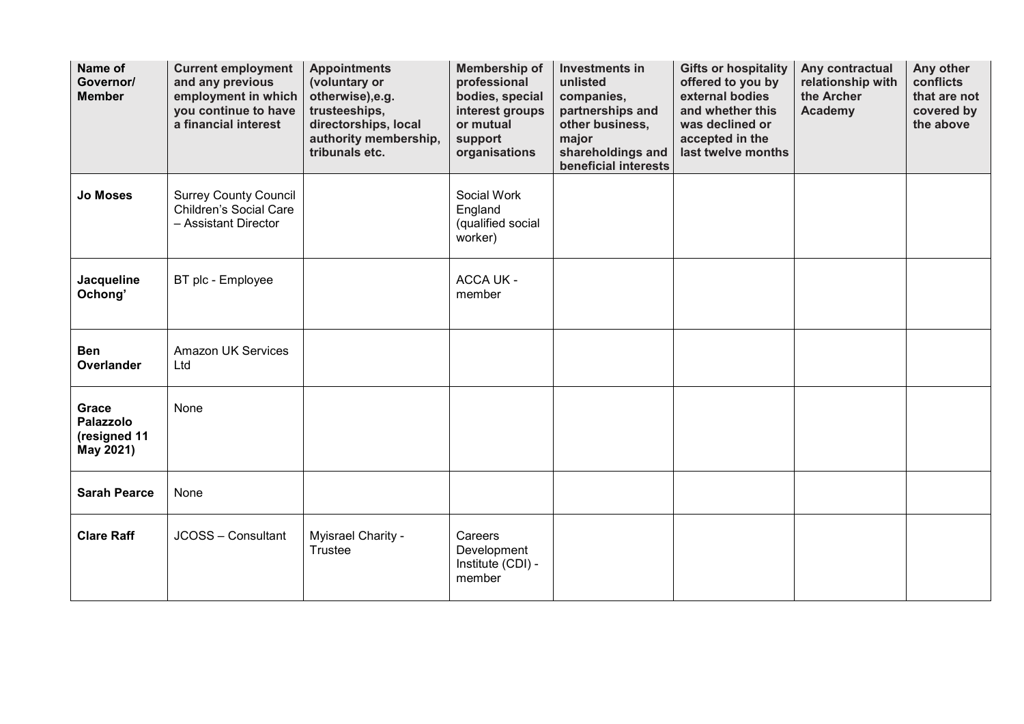| Name of<br>Governor/<br><b>Member</b>                  | <b>Current employment</b><br>and any previous<br>employment in which<br>you continue to have<br>a financial interest | <b>Appointments</b><br>(voluntary or<br>otherwise), e.g.<br>trusteeships,<br>directorships, local<br>authority membership,<br>tribunals etc. | Membership of<br>professional<br>bodies, special<br>interest groups<br>or mutual<br>support<br>organisations | <b>Investments in</b><br>unlisted<br>companies,<br>partnerships and<br>other business,<br>major<br>shareholdings and<br>beneficial interests | <b>Gifts or hospitality</b><br>offered to you by<br>external bodies<br>and whether this<br>was declined or<br>accepted in the<br>last twelve months | Any contractual<br>relationship with<br>the Archer<br><b>Academy</b> | Any other<br>conflicts<br>that are not<br>covered by<br>the above |
|--------------------------------------------------------|----------------------------------------------------------------------------------------------------------------------|----------------------------------------------------------------------------------------------------------------------------------------------|--------------------------------------------------------------------------------------------------------------|----------------------------------------------------------------------------------------------------------------------------------------------|-----------------------------------------------------------------------------------------------------------------------------------------------------|----------------------------------------------------------------------|-------------------------------------------------------------------|
| <b>Jo Moses</b>                                        | <b>Surrey County Council</b><br>Children's Social Care<br>- Assistant Director                                       |                                                                                                                                              | Social Work<br>England<br>(qualified social<br>worker)                                                       |                                                                                                                                              |                                                                                                                                                     |                                                                      |                                                                   |
| Jacqueline<br>Ochong'                                  | BT plc - Employee                                                                                                    |                                                                                                                                              | <b>ACCA UK -</b><br>member                                                                                   |                                                                                                                                              |                                                                                                                                                     |                                                                      |                                                                   |
| <b>Ben</b><br><b>Overlander</b>                        | <b>Amazon UK Services</b><br>Ltd                                                                                     |                                                                                                                                              |                                                                                                              |                                                                                                                                              |                                                                                                                                                     |                                                                      |                                                                   |
| Grace<br><b>Palazzolo</b><br>(resigned 11<br>May 2021) | None                                                                                                                 |                                                                                                                                              |                                                                                                              |                                                                                                                                              |                                                                                                                                                     |                                                                      |                                                                   |
| <b>Sarah Pearce</b>                                    | None                                                                                                                 |                                                                                                                                              |                                                                                                              |                                                                                                                                              |                                                                                                                                                     |                                                                      |                                                                   |
| <b>Clare Raff</b>                                      | JCOSS - Consultant                                                                                                   | Myisrael Charity -<br>Trustee                                                                                                                | Careers<br>Development<br>Institute (CDI) -<br>member                                                        |                                                                                                                                              |                                                                                                                                                     |                                                                      |                                                                   |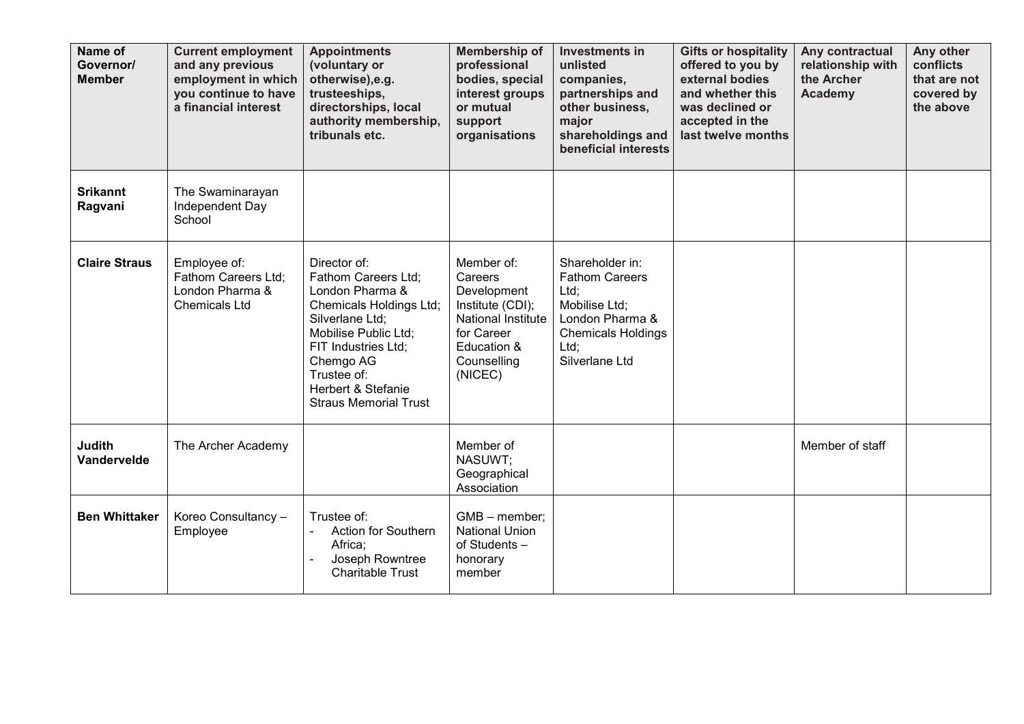| Name of<br>Governor/<br><b>Member</b> | <b>Current employment</b><br>and any previous<br>employment in which<br>you continue to have<br>a financial interest | <b>Appointments</b><br>(voluntary or<br>otherwise), e.g.<br>trusteeships,<br>directorships, local<br>authority membership,<br>tribunals etc.                                                                                                     | Membership of<br>professional<br>bodies, special<br>interest groups<br>or mutual<br>support<br>organisations                          | Investments in<br>unlisted<br>companies,<br>partnerships and<br>other business,<br>major<br>shareholdings and<br>beneficial interests       | <b>Gifts or hospitality</b><br>offered to you by<br>external bodies<br>and whether this<br>was declined or<br>accepted in the<br>last twelve months | Any contractual<br>relationship with<br>the Archer<br><b>Academy</b> | Any other<br>conflicts<br>that are not<br>covered by<br>the above |
|---------------------------------------|----------------------------------------------------------------------------------------------------------------------|--------------------------------------------------------------------------------------------------------------------------------------------------------------------------------------------------------------------------------------------------|---------------------------------------------------------------------------------------------------------------------------------------|---------------------------------------------------------------------------------------------------------------------------------------------|-----------------------------------------------------------------------------------------------------------------------------------------------------|----------------------------------------------------------------------|-------------------------------------------------------------------|
| <b>Srikannt</b><br>Ragvani            | The Swaminarayan<br>Independent Day<br>School                                                                        |                                                                                                                                                                                                                                                  |                                                                                                                                       |                                                                                                                                             |                                                                                                                                                     |                                                                      |                                                                   |
| <b>Claire Straus</b>                  | Employee of:<br>Fathom Careers Ltd;<br>London Pharma &<br><b>Chemicals Ltd</b>                                       | Director of:<br>Fathom Careers Ltd;<br>London Pharma &<br>Chemicals Holdings Ltd;<br>Silverlane Ltd;<br>Mobilise Public Ltd;<br>FIT Industries Ltd;<br>Chemgo AG<br>Trustee of:<br><b>Herbert &amp; Stefanie</b><br><b>Straus Memorial Trust</b> | Member of:<br>Careers<br>Development<br>Institute (CDI);<br>National Institute<br>for Career<br>Education &<br>Counselling<br>(NICEC) | Shareholder in:<br><b>Fathom Careers</b><br>Ltd;<br>Mobilise Ltd;<br>London Pharma &<br><b>Chemicals Holdings</b><br>Ltd:<br>Silverlane Ltd |                                                                                                                                                     |                                                                      |                                                                   |
| <b>Judith</b><br>Vandervelde          | The Archer Academy                                                                                                   |                                                                                                                                                                                                                                                  | Member of<br>NASUWT;<br>Geographical<br>Association                                                                                   |                                                                                                                                             |                                                                                                                                                     | Member of staff                                                      |                                                                   |
| <b>Ben Whittaker</b>                  | Koreo Consultancy -<br>Employee                                                                                      | Trustee of:<br><b>Action for Southern</b><br>Africa;<br>Joseph Rowntree<br><b>Charitable Trust</b>                                                                                                                                               | GMB - member;<br><b>National Union</b><br>of Students -<br>honorary<br>member                                                         |                                                                                                                                             |                                                                                                                                                     |                                                                      |                                                                   |